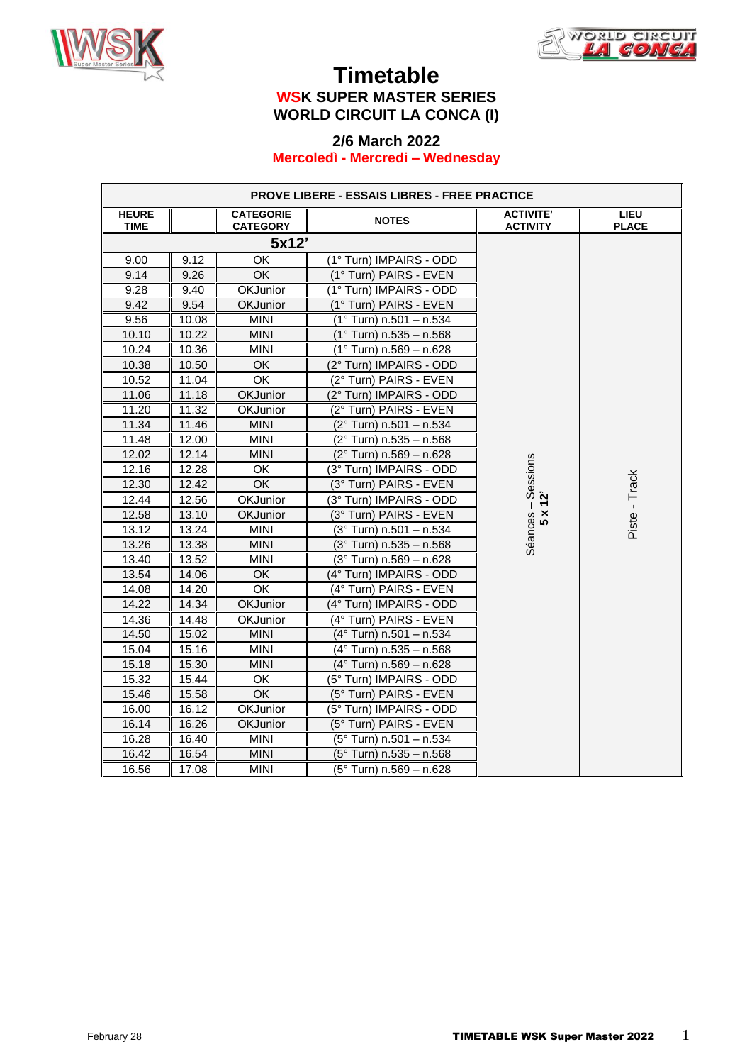



#### **Timetable WSK SUPER MASTER SERIES WORLD CIRCUIT LA CONCA (I)**

#### **2/6 March 2022 Mercoledì - Mercredi – Wednesday**

| <b>PROVE LIBERE - ESSAIS LIBRES - FREE PRACTICE</b> |       |                                     |                                  |                                     |                      |
|-----------------------------------------------------|-------|-------------------------------------|----------------------------------|-------------------------------------|----------------------|
| <b>HEURE</b><br><b>TIME</b>                         |       | <b>CATEGORIE</b><br><b>CATEGORY</b> | <b>NOTES</b>                     | <b>ACTIVITE'</b><br><b>ACTIVITY</b> | LIEU<br><b>PLACE</b> |
|                                                     |       | 5x12'                               |                                  |                                     |                      |
| 9.00                                                | 9.12  | OK                                  | (1° Turn) IMPAIRS - ODD          |                                     |                      |
| 9.14                                                | 9.26  | OK                                  | (1° Turn) PAIRS - EVEN           |                                     |                      |
| 9.28                                                | 9.40  | OKJunior                            | (1° Turn) IMPAIRS - ODD          |                                     |                      |
| 9.42                                                | 9.54  | <b>OKJunior</b>                     | (1° Turn) PAIRS - EVEN           |                                     |                      |
| 9.56                                                | 10.08 | <b>MINI</b>                         | (1° Turn) n.501 - n.534          |                                     |                      |
| 10.10                                               | 10.22 | <b>MINI</b>                         | $(1°$ Turn) n.535 - n.568        |                                     |                      |
| 10.24                                               | 10.36 | <b>MINI</b>                         | $(1°$ Turn) n.569 - n.628        |                                     |                      |
| 10.38                                               | 10.50 | OK                                  | (2° Turn) IMPAIRS - ODD          |                                     |                      |
| 10.52                                               | 11.04 | OK                                  | (2° Turn) PAIRS - EVEN           |                                     |                      |
| 11.06                                               | 11.18 | <b>OKJunior</b>                     | (2° Turn) IMPAIRS - ODD          |                                     |                      |
| 11.20                                               | 11.32 | OKJunior                            | (2° Turn) PAIRS - EVEN           |                                     |                      |
| 11.34                                               | 11.46 | <b>MINI</b>                         | (2° Turn) n.501 - n.534          |                                     |                      |
| 11.48                                               | 12.00 | <b>MINI</b>                         | $(2°$ Turn) n.535 - n.568        |                                     |                      |
| 12.02                                               | 12.14 | <b>MINI</b>                         | (2° Turn) n.569 - n.628          |                                     |                      |
| 12.16                                               | 12.28 | ОK                                  | (3° Turn) IMPAIRS - ODD          | ices – Sessions<br>5 x 12'          |                      |
| 12.30                                               | 12.42 | $\overline{OK}$                     | (3° Turn) PAIRS - EVEN           |                                     | Piste - Track        |
| 12.44                                               | 12.56 | <b>OKJunior</b>                     | (3° Turn) IMPAIRS - ODD          |                                     |                      |
| 12.58                                               | 13.10 | OKJunior                            | (3° Turn) PAIRS - EVEN           | Séances-                            |                      |
| 13.12                                               | 13.24 | <b>MINI</b>                         | $(3°$ Turn) n.501 - n.534        |                                     |                      |
| 13.26                                               | 13.38 | MINI                                | $(3°)$ Turn) n.535 - n.568       |                                     |                      |
| 13.40                                               | 13.52 | <b>MINI</b>                         | $(3°)$ Turn) n.569 - n.628       |                                     |                      |
| 13.54                                               | 14.06 | OK                                  | (4° Turn) IMPAIRS - ODD          |                                     |                      |
| 14.08                                               | 14.20 | OK                                  | (4° Turn) PAIRS - EVEN           |                                     |                      |
| 14.22                                               | 14.34 | <b>OKJunior</b>                     | (4° Turn) IMPAIRS - ODD          |                                     |                      |
| 14.36                                               | 14.48 | <b>OKJunior</b>                     | (4° Turn) PAIRS - EVEN           |                                     |                      |
| 14.50                                               | 15.02 | <b>MINI</b>                         | (4° Turn) n.501 - n.534          |                                     |                      |
| 15.04                                               | 15.16 | <b>MINI</b>                         | $(4°$ Turn) n.535 - n.568        |                                     |                      |
| 15.18                                               | 15.30 | <b>MINI</b>                         | (4° Turn) n.569 - n.628          |                                     |                      |
| 15.32                                               | 15.44 | OK                                  | (5° Turn) IMPAIRS - ODD          |                                     |                      |
| 15.46                                               | 15.58 | OK                                  | (5° Turn) PAIRS - EVEN           |                                     |                      |
| 16.00                                               | 16.12 | <b>OKJunior</b>                     | (5° Turn) IMPAIRS - ODD          |                                     |                      |
| 16.14                                               | 16.26 | OKJunior                            | (5° Turn) PAIRS - EVEN           |                                     |                      |
| 16.28                                               | 16.40 | <b>MINI</b>                         | (5° Turn) n.501 - n.534          |                                     |                      |
| 16.42                                               | 16.54 | <b>MINI</b>                         | $(5^{\circ}$ Turn) n.535 - n.568 |                                     |                      |
| 16.56                                               | 17.08 | <b>MINI</b>                         | (5° Turn) n.569 - n.628          |                                     |                      |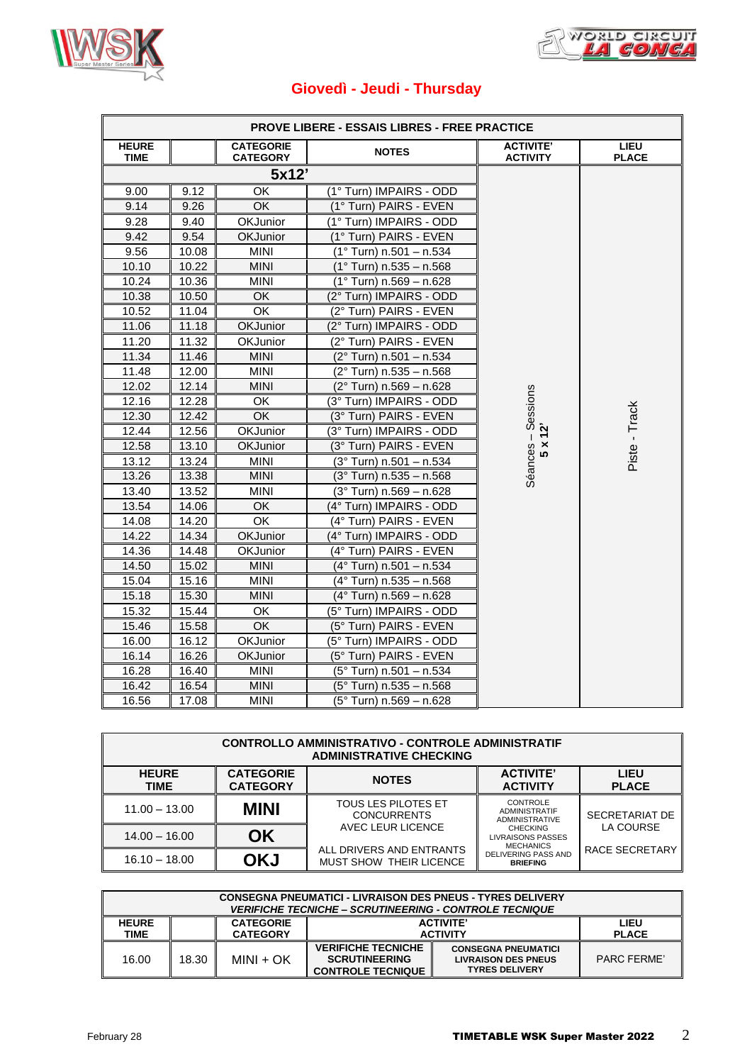



ř

# **Giovedì - Jeudi - Thursday**

|                             |       |                                     | <b>PROVE LIBERE - ESSAIS LIBRES - FREE PRACTICE</b> |                                     |                             |
|-----------------------------|-------|-------------------------------------|-----------------------------------------------------|-------------------------------------|-----------------------------|
| <b>HEURE</b><br><b>TIME</b> |       | <b>CATEGORIE</b><br><b>CATEGORY</b> | <b>NOTES</b>                                        | <b>ACTIVITE'</b><br><b>ACTIVITY</b> | <b>LIEU</b><br><b>PLACE</b> |
|                             |       | 5x12'                               |                                                     |                                     |                             |
| 9.00                        | 9.12  | OK                                  | (1° Turn) IMPAIRS - ODD                             |                                     |                             |
| 9.14                        | 9.26  | OK                                  | (1° Turn) PAIRS - EVEN                              |                                     |                             |
| 9.28                        | 9.40  | OKJunior                            | (1° Turn) IMPAIRS - ODD                             |                                     |                             |
| 9.42                        | 9.54  | <b>OKJunior</b>                     | (1° Turn) PAIRS - EVEN                              |                                     |                             |
| 9.56                        | 10.08 | <b>MINI</b>                         | $(1°$ Turn) n.501 - n.534                           |                                     |                             |
| 10.10                       | 10.22 | <b>MINI</b>                         | $(1°)$ Turn) n.535 - n.568                          |                                     |                             |
| 10.24                       | 10.36 | <b>MINI</b>                         | $(1°)$ Turn) n.569 - n.628                          |                                     |                             |
| 10.38                       | 10.50 | <b>OK</b>                           | (2° Turn) IMPAIRS - ODD                             |                                     |                             |
| 10.52                       | 11.04 | OK                                  | (2° Turn) PAIRS - EVEN                              |                                     |                             |
| 11.06                       | 11.18 | <b>OKJunior</b>                     | (2° Turn) IMPAIRS - ODD                             |                                     |                             |
| 11.20                       | 11.32 | <b>OKJunior</b>                     | (2° Turn) PAIRS - EVEN                              |                                     |                             |
| 11.34                       | 11.46 | <b>MINI</b>                         | (2° Turn) n.501 - n.534                             |                                     |                             |
| 11.48                       | 12.00 | <b>MINI</b>                         | (2° Turn) n.535 - n.568                             |                                     |                             |
| 12.02                       | 12.14 | <b>MINI</b>                         | (2° Turn) n.569 - n.628                             |                                     |                             |
| 12.16                       | 12.28 | OK                                  | (3° Turn) IMPAIRS - ODD                             |                                     |                             |
| 12.30                       | 12.42 | <b>OK</b>                           | (3° Turn) PAIRS - EVEN                              | $-$ Sessions<br>(12'                | Piste - Track               |
| 12.44                       | 12.56 | OKJunior                            | (3° Turn) IMPAIRS - ODD                             |                                     |                             |
| 12.58                       | 13.10 | OKJunior                            | (3° Turn) PAIRS - EVEN                              | Séances-<br>$\times$<br><b>LC</b>   |                             |
| 13.12                       | 13.24 | <b>MINI</b>                         | $(3°$ Turn) n.501 - n.534                           |                                     |                             |
| 13.26                       | 13.38 | <b>MINI</b>                         | $(3°)$ Turn) n.535 - n.568                          |                                     |                             |
| 13.40                       | 13.52 | <b>MINI</b>                         | (3° Turn) n.569 - n.628                             |                                     |                             |
| 13.54                       | 14.06 | <b>OK</b>                           | (4° Turn) IMPAIRS - ODD                             |                                     |                             |
| 14.08                       | 14.20 | OK                                  | (4° Turn) PAIRS - EVEN                              |                                     |                             |
| 14.22                       | 14.34 | OKJunior                            | (4° Turn) IMPAIRS - ODD                             |                                     |                             |
| 14.36                       | 14.48 | OKJunior                            | (4° Turn) PAIRS - EVEN                              |                                     |                             |
| 14.50                       | 15.02 | <b>MINI</b>                         | $(4^{\circ}$ Turn) n.501 - n.534                    |                                     |                             |
| 15.04                       | 15.16 | <b>MINI</b>                         | (4° Turn) n.535 - n.568                             |                                     |                             |
| 15.18                       | 15.30 | <b>MINI</b>                         | $(4^{\circ}$ Turn) n.569 - n.628                    |                                     |                             |
| 15.32                       | 15.44 | OK                                  | (5° Turn) IMPAIRS - ODD                             |                                     |                             |
| 15.46                       | 15.58 | OK.                                 | (5° Turn) PAIRS - EVEN                              |                                     |                             |
| 16.00                       | 16.12 | OKJunior                            | (5° Turn) IMPAIRS - ODD                             |                                     |                             |
| 16.14                       | 16.26 | <b>OKJunior</b>                     | $(5^{\circ}$ Turn) PAIRS - EVEN                     |                                     |                             |
| 16.28                       | 16.40 | <b>MINI</b>                         | $(5^{\circ}$ Turn) n.501 - n.534                    |                                     |                             |
| 16.42                       | 16.54 | MINI                                | (5° Turn) n.535 - n.568                             |                                     |                             |
| 16.56                       | 17.08 | <b>MINI</b>                         | (5° Turn) n.569 - n.628                             |                                     |                             |

| <b>CONTROLLO AMMINISTRATIVO - CONTROLE ADMINISTRATIF</b><br><b>ADMINISTRATIVE CHECKING</b> |                                     |                                                            |                                                          |                             |  |  |
|--------------------------------------------------------------------------------------------|-------------------------------------|------------------------------------------------------------|----------------------------------------------------------|-----------------------------|--|--|
| <b>HEURE</b><br><b>TIME</b>                                                                | <b>CATEGORIE</b><br><b>CATEGORY</b> | <b>NOTES</b>                                               | <b>ACTIVITE'</b><br><b>ACTIVITY</b>                      | <b>LIEU</b><br><b>PLACE</b> |  |  |
| $11.00 - 13.00$                                                                            | <b>MINI</b>                         | TOUS LES PILOTES ET<br><b>CONCURRENTS</b>                  | CONTROLE<br><b>ADMINISTRATIF</b><br>ADMINISTRATIVE       | SECRETARIAT DE              |  |  |
| $14.00 - 16.00$                                                                            | ΟK                                  | AVEC LEUR LICENCE                                          | <b>CHECKING</b><br>LIVRAISONS PASSES<br><b>MECHANICS</b> | LA COURSE                   |  |  |
| $16.10 - 18.00$                                                                            | OKJ                                 | ALL DRIVERS AND ENTRANTS<br><b>MUST SHOW THEIR LICENCE</b> | DELIVERING PASS AND<br><b>BRIEFING</b>                   | RACE SECRETARY              |  |  |

| <b>CONSEGNA PNEUMATICI - LIVRAISON DES PNEUS - TYRES DELIVERY</b><br><i><b>VERIFICHE TECNICHE – SCRUTINEERING - CONTROLE TECNIQUE</b></i> |       |                                     |                                                                               |                                                                                   |                      |  |
|-------------------------------------------------------------------------------------------------------------------------------------------|-------|-------------------------------------|-------------------------------------------------------------------------------|-----------------------------------------------------------------------------------|----------------------|--|
| <b>HEURE</b><br>TIME                                                                                                                      |       | <b>CATEGORIE</b><br><b>CATEGORY</b> | <b>ACTIVITE'</b><br><b>ACTIVITY</b>                                           |                                                                                   | LIEU<br><b>PLACE</b> |  |
| 16.00                                                                                                                                     | 18.30 | MINI + OK                           | <b>VERIFICHE TECNICHE</b><br><b>SCRUTINEERING</b><br><b>CONTROLE TECNIQUE</b> | <b>CONSEGNA PNEUMATICI</b><br><b>LIVRAISON DES PNEUS</b><br><b>TYRES DELIVERY</b> | PARC FFRMF'          |  |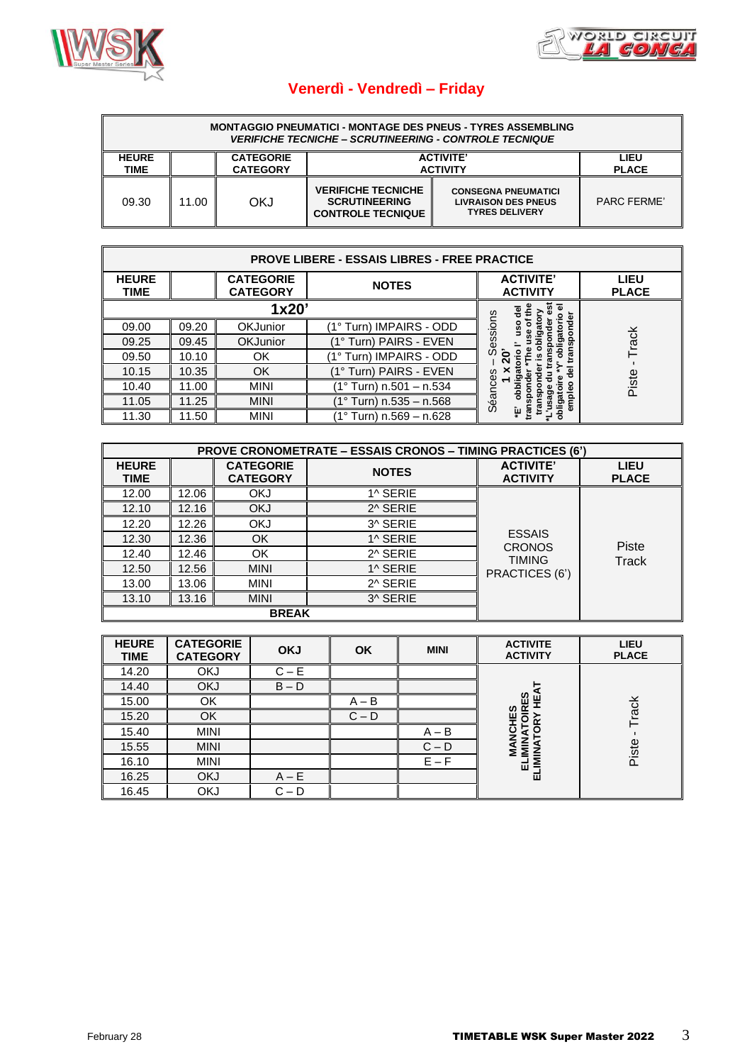



# **Venerdì - Vendredì – Friday**

| <b>MONTAGGIO PNEUMATICI - MONTAGE DES PNEUS - TYRES ASSEMBLING</b><br><b>VERIFICHE TECNICHE – SCRUTINEERING - CONTROLE TECNIQUE</b> |       |                                     |                                                                               |                                                                                   |                      |  |  |
|-------------------------------------------------------------------------------------------------------------------------------------|-------|-------------------------------------|-------------------------------------------------------------------------------|-----------------------------------------------------------------------------------|----------------------|--|--|
| <b>HEURE</b><br>TIME                                                                                                                |       | <b>CATEGORIE</b><br><b>CATEGORY</b> | <b>ACTIVITE'</b><br><b>ACTIVITY</b>                                           |                                                                                   | LIEU<br><b>PLACE</b> |  |  |
| 09.30                                                                                                                               | 11.00 | OKJ                                 | <b>VERIFICHE TECNICHE</b><br><b>SCRUTINEERING</b><br><b>CONTROLE TECNIQUE</b> | <b>CONSEGNA PNEUMATICI</b><br><b>LIVRAISON DES PNEUS</b><br><b>TYRES DELIVERY</b> | PARC FFRME'          |  |  |

| <b>PROVE LIBERE - ESSAIS LIBRES - FREE PRACTICE</b> |       |                                     |                         |                         |                             |  |  |
|-----------------------------------------------------|-------|-------------------------------------|-------------------------|-------------------------|-----------------------------|--|--|
| <b>HEURE</b><br><b>TIME</b>                         |       | <b>CATEGORIE</b><br><b>CATEGORY</b> | <b>NOTES</b>            |                         | <b>LIEU</b><br><b>PLACE</b> |  |  |
|                                                     |       | 1x20'                               | 70<br>흥                 |                         |                             |  |  |
| 09.00                                               | 09.20 | <b>OKJunior</b>                     | 1° Turn) IMPAIRS - ODD  | saois<br>នី             |                             |  |  |
| 09.25                                               | 09.45 | <b>OKJunior</b>                     | (1° Turn) PAIRS - EVEN  |                         | Track                       |  |  |
| 09.50                                               | 10.10 | ΟK                                  | 1° Turn) IMPAIRS - ODD  |                         |                             |  |  |
| 10.15                                               | 10.35 | OK                                  | (1° Turn) PAIRS - EVEN  | $\overline{\mathbf{c}}$ |                             |  |  |
| 10.40                                               | 11.00 | <b>MINI</b>                         | (1° Turn) n.501 – n.534 |                         | Piste                       |  |  |
| 11.05                                               | 11.25 | <b>MINI</b>                         | (1° Turn) n.535 – n.568 | Séances                 |                             |  |  |
| 11.30                                               | 11.50 | <b>MINI</b>                         | Turn) n.569 - n.628     | îμ<br>ο                 |                             |  |  |

|                             | <b>PROVE CRONOMETRATE – ESSAIS CRONOS – TIMING PRACTICES (6')</b> |                                     |              |                                     |                             |  |  |  |
|-----------------------------|-------------------------------------------------------------------|-------------------------------------|--------------|-------------------------------------|-----------------------------|--|--|--|
| <b>HEURE</b><br><b>TIME</b> |                                                                   | <b>CATEGORIE</b><br><b>CATEGORY</b> | <b>NOTES</b> | <b>ACTIVITE'</b><br><b>ACTIVITY</b> | <b>LIEU</b><br><b>PLACE</b> |  |  |  |
| 12.00                       | 12.06                                                             | <b>OKJ</b>                          | 1^ SERIE     |                                     |                             |  |  |  |
| 12.10                       | 12.16                                                             | <b>OKJ</b>                          | 2^ SERIE     |                                     |                             |  |  |  |
| 12.20                       | 12.26                                                             | <b>OKJ</b>                          | 3^ SERIE     |                                     |                             |  |  |  |
| 12.30                       | 12.36                                                             | OK                                  | 1^ SERIE     | <b>ESSAIS</b>                       |                             |  |  |  |
| 12.40                       | 12.46                                                             | OK                                  | 2^ SERIE     | <b>CRONOS</b><br><b>TIMING</b>      | Piste                       |  |  |  |
| 12.50                       | 12.56                                                             | <b>MINI</b>                         | 1^ SERIE     | PRACTICES (6')                      | Track                       |  |  |  |
| 13.00                       | 13.06                                                             | <b>MINI</b>                         | 2^ SERIE     |                                     |                             |  |  |  |
| 13.10                       | 13.16                                                             | <b>MINI</b>                         | 3^ SERIE     |                                     |                             |  |  |  |
|                             |                                                                   | <b>BREAK</b>                        |              |                                     |                             |  |  |  |

| <b>HEURE</b><br><b>TIME</b> | <b>CATEGORIE</b><br><b>CATEGORY</b> | <b>OKJ</b> | <b>OK</b> | <b>MINI</b> | <b>ACTIVITE</b><br><b>ACTIVITY</b> | LIEU<br><b>PLACE</b> |
|-----------------------------|-------------------------------------|------------|-----------|-------------|------------------------------------|----------------------|
| 14.20                       | <b>OKJ</b>                          | $C - E$    |           |             |                                    |                      |
| 14.40                       | <b>OKJ</b>                          | $B - D$    |           |             |                                    |                      |
| 15.00                       | ОК                                  |            | $A - B$   |             | ທ                                  |                      |
| 15.20                       | OK                                  |            | $C - D$   |             | ΕS                                 | Track                |
| 15.40                       | <b>MINI</b>                         |            |           | $A - B$     |                                    |                      |
| 15.55                       | <b>MINI</b>                         |            |           | $C - D$     |                                    | Piste                |
| 16.10                       | <b>MINI</b>                         |            |           | $E - F$     | 面                                  |                      |
| 16.25                       | <b>OKJ</b>                          | $A - E$    |           |             | ш                                  |                      |
| 16.45                       | <b>OKJ</b>                          | $C - D$    |           |             |                                    |                      |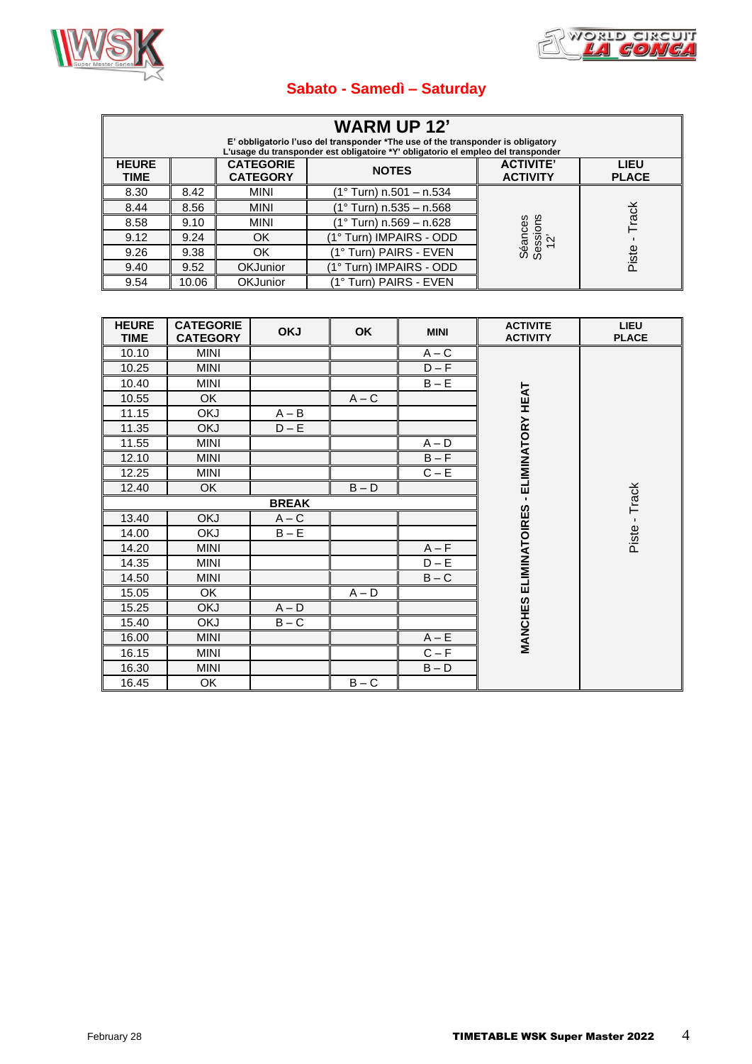



#### **Sabato - Samedì – Saturday**

| <b>WARM UP 12'</b><br>E' obbligatorio l'uso del transponder *The use of the transponder is obligatory<br>L'usage du transponder est obligatoire *Y' obligatorio el empleo del transponder |       |                                     |                           |                                     |                             |  |  |
|-------------------------------------------------------------------------------------------------------------------------------------------------------------------------------------------|-------|-------------------------------------|---------------------------|-------------------------------------|-----------------------------|--|--|
| <b>HEURE</b><br><b>TIME</b>                                                                                                                                                               |       | <b>CATEGORIE</b><br><b>CATEGORY</b> | <b>NOTES</b>              | <b>ACTIVITE'</b><br><b>ACTIVITY</b> | <b>LIEU</b><br><b>PLACE</b> |  |  |
| 8.30                                                                                                                                                                                      | 8.42  | <b>MINI</b>                         | (1° Turn) n.501 - n.534   |                                     |                             |  |  |
| 8.44                                                                                                                                                                                      | 8.56  | <b>MINI</b>                         | $(1°$ Turn) n.535 - n.568 |                                     |                             |  |  |
| 8.58                                                                                                                                                                                      | 9.10  | <b>MINI</b>                         | (1° Turn) n.569 – n.628   |                                     | Track                       |  |  |
| 9.12                                                                                                                                                                                      | 9.24  | OK                                  | (1° Turn) IMPAIRS - ODD   |                                     |                             |  |  |
| 9.26                                                                                                                                                                                      | 9.38  | OK                                  | 1° Turn) PAIRS - EVEN     | Séances<br>Sessions<br>12'          | Piste                       |  |  |
| 9.40                                                                                                                                                                                      | 9.52  | <b>OKJunior</b>                     | (1° Turn) IMPAIRS - ODD   |                                     |                             |  |  |
| 9.54                                                                                                                                                                                      | 10.06 | <b>OKJunior</b>                     | (1° Turn) PAIRS - EVEN    |                                     |                             |  |  |

| <b>HEURE</b><br><b>TIME</b> | <b>CATEGORIE</b><br><b>CATEGORY</b> | <b>OKJ</b>   | OK      | <b>MINI</b>        | <b>ACTIVITE</b><br><b>ACTIVITY</b> | LIEU<br><b>PLACE</b> |
|-----------------------------|-------------------------------------|--------------|---------|--------------------|------------------------------------|----------------------|
| 10.10                       | MINI                                |              |         | $A - C$            |                                    |                      |
| 10.25                       | <b>MINI</b>                         |              |         | $D - F$            |                                    |                      |
| 10.40                       | <b>MINI</b>                         |              |         | $B - E$            |                                    |                      |
| 10.55                       | OK                                  |              | $A - C$ |                    | ELIMINATORY HEAT                   |                      |
| 11.15                       | <b>OKJ</b>                          | $A - B$      |         |                    |                                    |                      |
| 11.35                       | <b>OKJ</b>                          | $D - E$      |         |                    |                                    |                      |
| 11.55                       | <b>MINI</b>                         |              |         | $A - D$            |                                    |                      |
| 12.10                       | <b>MINI</b>                         |              |         | $B - F$            |                                    |                      |
| 12.25                       | MINI                                |              |         | $C - E$            |                                    |                      |
| 12.40                       | OK                                  |              | $B - D$ |                    |                                    |                      |
|                             |                                     | <b>BREAK</b> |         |                    |                                    | Piste - Track        |
| 13.40                       | <b>OKJ</b>                          | $A - C$      |         |                    | <b>ELIMINATOIRES</b>               |                      |
| 14.00                       | <b>OKJ</b>                          | $B - E$      |         |                    |                                    |                      |
| 14.20                       | <b>MINI</b>                         |              |         | $A - F$            |                                    |                      |
| 14.35                       | <b>MINI</b>                         |              |         | $D - \overline{E}$ |                                    |                      |
| 14.50                       | <b>MINI</b>                         |              |         | $B - C$            |                                    |                      |
| 15.05                       | OK                                  |              | $A - D$ |                    |                                    |                      |
| 15.25                       | <b>OKJ</b>                          | $A - D$      |         |                    |                                    |                      |
| 15.40                       | <b>OKJ</b>                          | $B - C$      |         |                    |                                    |                      |
| 16.00                       | <b>MINI</b>                         |              |         | $A - E$            | <b>MANCHES</b>                     |                      |
| 16.15                       | <b>MINI</b>                         |              |         | $C - F$            |                                    |                      |
| 16.30                       | <b>MINI</b>                         |              |         | $B - D$            |                                    |                      |
| 16.45                       | <b>OK</b>                           |              | $B - C$ |                    |                                    |                      |